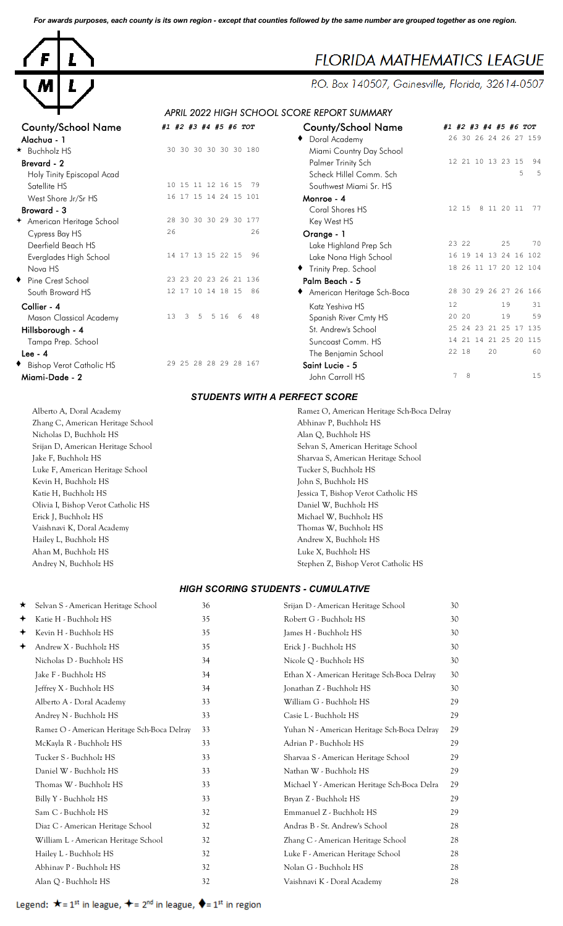*For awards purposes, each county is its own region - except that counties followed by the same number are grouped together as one region.*



# **FLORIDA MATHEMATICS LEAGUE**

P.O. Box 140507, Gainesville, Florida, 32614-0507

## *APRIL 2022 HIGH SCHOOL SCORE REPORT SUMMARY*

| <b>County/School Name</b>  | #1 #2 #3 #4 #5 #6 TOT           | <b>County/School Name</b>    | #1 #2 #3 #4 #5 #6 TOT      |
|----------------------------|---------------------------------|------------------------------|----------------------------|
| Alachua - 1                |                                 | ◆ Doral Academy              | 26 30 26 24 26 27 159      |
| * Buchholz HS              | 30 30 30 30 30 30 180           | Miami Country Day School     |                            |
| Brevard - 2                |                                 | Palmer Trinity Sch           | 12 21 10 13 23 15<br>94    |
| Holy Tinity Episcopal Acad |                                 | Scheck Hillel Comm. Sch      | 5<br>5                     |
| Satellite HS               | 10 15 11 12 16 15<br>79         | Southwest Miami Sr. HS       |                            |
| West Shore Jr/Sr HS        | 16 17 15 14 24 15 101           | Monroe - 4                   |                            |
| Broward - 3                |                                 | Coral Shores HS              | 12 15<br>8 11 20 11<br>-77 |
| + American Heritage School | 28 30 30 30 29 30 177           | Key West HS                  |                            |
| Cypress Bay HS             | 26<br>26                        | Orange - 1                   |                            |
| Deerfield Beach HS         |                                 | Lake Highland Prep Sch       | 70<br>23 22<br>25          |
| Everglades High School     | 14 17 13 15 22 15<br>96         | Lake Nona High School        | 16 19 14 13 24 16 102      |
| Nova HS                    |                                 | Trinity Prep. School         | 18 26 11 17 20 12 104      |
| ◆ Pine Crest School        | 23 23 20 23 26 21 136           | Palm Beach - 5               |                            |
| South Broward HS           | 12 17 10 14 18 15 86            | ◆ American Heritage Sch-Boca | 28 30 29 26 27 26 166      |
| Collier - 4                |                                 | Katz Yeshiva HS              | 31<br>12<br>19             |
| Mason Classical Academy    | 13<br>48<br>5<br>5 16<br>3<br>6 | Spanish River Cmty HS        | 19<br>59<br>20 20          |
| Hillsborough - 4           |                                 | St. Andrew's School          | 25 24 23 21 25 17 135      |
| Tampa Prep. School         |                                 | Suncoast Comm. HS            | 21 25 20 115<br>14 21 14   |
| Lee - $4$                  |                                 | The Benjamin School          | 22 18<br>20<br>60          |
| Bishop Verot Catholic HS   | 29 25 28 28 29 28 167           | Saint Lucie - 5              |                            |
| Migmi-Dade - 2             |                                 | John Carroll HS              | 15<br>7<br>-8              |

| County/School IName             | #1 #2 #3 #4 #5 #6 TOT           | County/School Name         | #1 #2 #3 #4 #5 #6 TOT   |
|---------------------------------|---------------------------------|----------------------------|-------------------------|
| Alachua - 1                     |                                 | Doral Academy              | 26 30 26 24 26 27 159   |
| <b>Buchholz HS</b>              | 30 30 30 30 30 30 180           | Miami Country Day School   |                         |
| Brevard - 2                     |                                 | Palmer Trinity Sch         | 12 21 10 13 23 15<br>94 |
| Holy Tinity Episcopal Acad      |                                 | Scheck Hillel Comm. Sch    | 5<br>- 5                |
| Satellite HS                    | 10 15 11 12 16 15<br>79         | Southwest Miami Sr. HS     |                         |
| West Shore Jr/Sr HS             | 16 17 15 14 24 15 101           | Monroe - 4                 |                         |
| Broward - 3                     |                                 | Coral Shores HS            | 12 15 8 11 20 11<br>77  |
| American Heritage School        | 28 30 30 30 29 30 177           | Key West HS                |                         |
| Cypress Bay HS                  | 26<br>26                        | Orange - 1                 |                         |
| Deerfield Beach HS              |                                 | Lake Highland Prep Sch     | 23 22<br>25<br>70       |
| Everglades High School          | 14 17 13 15 22 15<br>96         | Lake Nona High School      | 16 19 14 13 24 16 102   |
| Nova HS                         |                                 | Trinity Prep. School       | 18 26 11 17 20 12 104   |
| Pine Crest School               | 23 23 20 23 26 21 136           | Palm Beach - 5             |                         |
| South Broward HS                | 12 17 10 14 18 15<br>86         | American Heritage Sch-Boca | 28 30 29 26 27 26 166   |
| Collier - 4                     |                                 | Katz Yeshiva HS            | 12<br>19<br>31          |
| Mason Classical Academy         | 13<br>3<br>5 16<br>6<br>48<br>5 | Spanish River Cmty HS      | 20 20<br>19<br>59       |
| Hillsborough - 4                |                                 | St. Andrew's School        | 25 24 23 21 25 17 135   |
| Tampa Prep. School              |                                 | Suncoast Comm. HS          | 14 21 14 21 25 20 115   |
| Lee - 4                         |                                 | The Benjamin School        | 22 18<br>20<br>60       |
| <b>Bishop Verot Catholic HS</b> | 29 25 28 28 29 28 167           | Saint Lucie - 5            |                         |
| Miami-Dade - 2                  |                                 | John Carroll HS            | $7^{\circ}$<br>15<br>8  |
|                                 |                                 |                            |                         |

#### *STUDENTS WITH A PERFECT SCORE*

Alberto A, Doral Academy Ramez O, American Heritage Sch-Boca Delray Zhang C, American Heritage School **Abhinav P, Buchholz HS** Abhinav P, Buchholz HS Nicholas D, Buchholz HS Alan Q, Buchholz HS Srijan D, American Heritage School Selvan S, American Heritage School Jake F, Buchholz HS Sharvaa S, American Heritage School Luke F, American Heritage School Tucker S, Buchholz HS Kevin H, Buchholz HS John S, Buchholz HS Katie H, Buchholz HS Jessica T, Bishop Verot Catholic HS Olivia I, Bishop Verot Catholic HS Daniel W, Buchholz HS Erick J, Buchholz HS Michael W, Buchholz HS Vaishnavi K, Doral Academy Thomas W, Buchholz HS Hailey L, Buchholz HS Andrew X, Buchholz HS Andrew X, Buchholz HS Ahan M, Buchholz HS Luke X, Buchholz HS Andrey N, Buchholz HS Stephen Z, Bishop Verot Catholic HS

#### *HIGH SCORING STUDENTS - CUMULATIVE*

| ★ | Selvan S - American Heritage School         | 36 | Srijan D - American Heritage School          | 30 |
|---|---------------------------------------------|----|----------------------------------------------|----|
| ✦ | Katie H - Buchholz HS                       | 35 | Robert G - Buchholz HS                       | 30 |
| ✦ | Kevin H - Buchholz HS                       | 35 | James H - Buchholz HS                        | 30 |
| ✦ | Andrew X - Buchholz HS                      | 35 | Erick J - Buchholz HS                        | 30 |
|   | Nicholas D - Buchholz HS                    | 34 | Nicole Q - Buchholz HS                       | 30 |
|   | Jake F - Buchholz HS                        | 34 | Ethan X - American Heritage Sch-Boca Delray  | 30 |
|   | Jeffrey X - Buchholz HS                     | 34 | Jonathan Z - Buchholz HS                     | 30 |
|   | Alberto A - Doral Academy                   | 33 | William G - Buchholz HS                      | 29 |
|   | Andrey N - Buchholz HS                      | 33 | Casie L - Buchholz HS                        | 29 |
|   | Ramez O - American Heritage Sch-Boca Delray | 33 | Yuhan N - American Heritage Sch-Boca Delray  | 29 |
|   | McKayla R - Buchholz HS                     | 33 | Adrian P - Buchholz HS                       | 29 |
|   | Tucker S - Buchholz HS                      | 33 | Sharvaa S - American Heritage School         | 29 |
|   | Daniel W - Buchholz HS                      | 33 | Nathan W - Buchholz HS                       | 29 |
|   | Thomas W - Buchholz HS                      | 33 | Michael Y - American Heritage Sch-Boca Delra | 29 |
|   | Billy Y - Buchholz HS                       | 33 | Bryan Z - Buchholz HS                        | 29 |
|   | Sam C - Buchholz HS                         | 32 | Emmanuel Z - Buchholz HS                     | 29 |
|   | Diaz C - American Heritage School           | 32 | Andras B - St. Andrew's School               | 28 |
|   | William L - American Heritage School        | 32 | Zhang C - American Heritage School           | 28 |
|   | Hailey L - Buchholz HS                      | 32 | Luke F - American Heritage School            | 28 |
|   | Abhinav P - Buchholz HS                     | 32 | Nolan G - Buchholz HS                        | 28 |
|   | Alan Q - Buchholz HS                        | 32 | Vaishnavi K - Doral Academy                  | 28 |